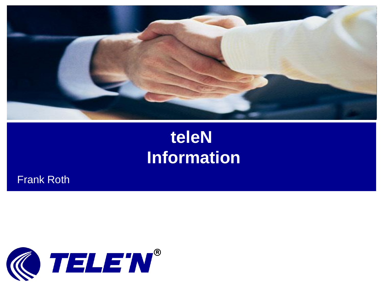

## **teleN Information**

Frank Roth

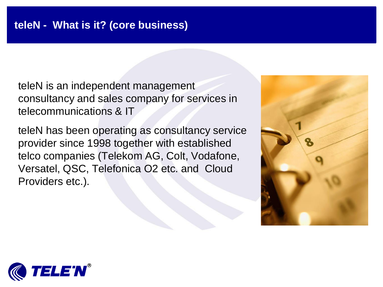teleN is an independent management consultancy and sales company for services in telecommunications & IT

teleN has been operating as consultancy service provider since 1998 together with established telco companies (Telekom AG, Colt, Vodafone, Versatel, QSC, Telefonica O2 etc. and Cloud Providers etc.).



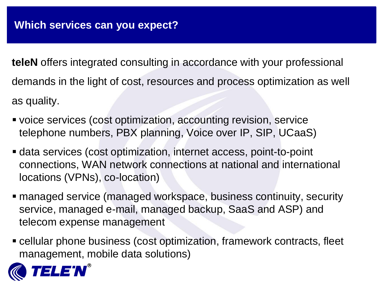**teleN** offers integrated consulting in accordance with your professional demands in the light of cost, resources and process optimization as well as quality.

- voice services (cost optimization, accounting revision, service telephone numbers, PBX planning, Voice over IP, SIP, UCaaS)
- data services (cost optimization, internet access, point-to-point connections, WAN network connections at national and international locations (VPNs), co-location)
- managed service (managed workspace, business continuity, security service, managed e-mail, managed backup, SaaS and ASP) and telecom expense management
- cellular phone business (cost optimization, framework contracts, fleet management, mobile data solutions)

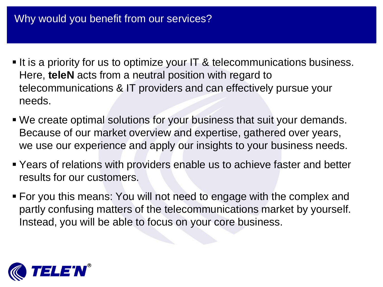## Why would you benefit from our services?

- It is a priority for us to optimize your IT & telecommunications business. Here, **teleN** acts from a neutral position with regard to telecommunications & IT providers and can effectively pursue your needs.
- We create optimal solutions for your business that suit your demands. Because of our market overview and expertise, gathered over years, we use our experience and apply our insights to your business needs.
- Years of relations with providers enable us to achieve faster and better results for our customers.
- For you this means: You will not need to engage with the complex and partly confusing matters of the telecommunications market by yourself. Instead, you will be able to focus on your core business.

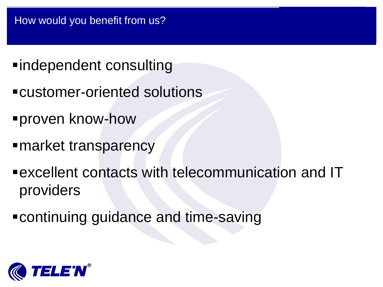- independent consulting
- customer-oriented solutions
- proven know-how
- market transparency
- excellent contacts with telecommunication and IT providers
- continuing guidance and time-saving